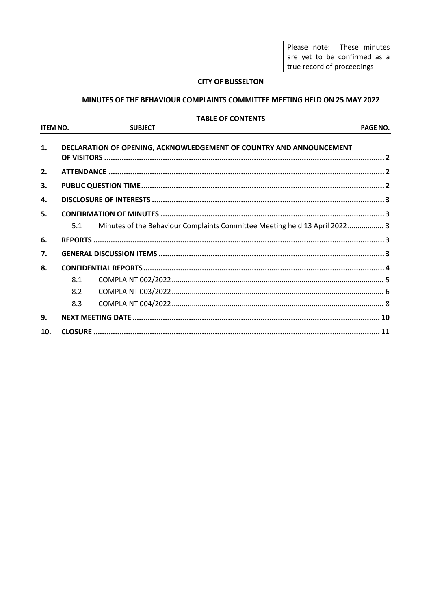Please note: These minutes are yet to be confirmed as a true record of proceedings

### **CITY OF BUSSELTON**

### MINUTES OF THE BEHAVIOUR COMPLAINTS COMMITTEE MEETING HELD ON 25 MAY 2022

#### **TABLE OF CONTENTS**

| <b>ITEM NO.</b> |     | <b>SUBJECT</b>                                                             | PAGE NO. |
|-----------------|-----|----------------------------------------------------------------------------|----------|
| 1.              |     | DECLARATION OF OPENING, ACKNOWLEDGEMENT OF COUNTRY AND ANNOUNCEMENT        |          |
| 2.              |     |                                                                            |          |
| 3.              |     |                                                                            |          |
| 4.              |     |                                                                            |          |
| 5.              |     |                                                                            |          |
|                 | 5.1 | Minutes of the Behaviour Complaints Committee Meeting held 13 April 2022 3 |          |
| 6.              |     |                                                                            |          |
| 7.              |     |                                                                            |          |
| 8.              |     |                                                                            |          |
|                 | 8.1 |                                                                            |          |
|                 | 8.2 |                                                                            |          |
|                 | 8.3 |                                                                            |          |
| 9.              |     |                                                                            |          |
| 10.             |     |                                                                            |          |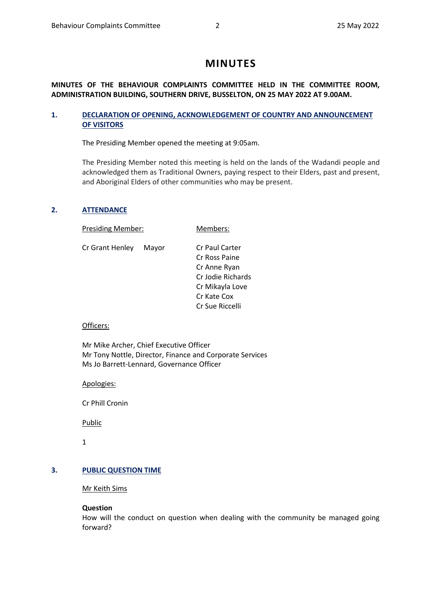# **MINUTES**

### **MINUTES OF THE BEHAVIOUR COMPLAINTS COMMITTEE HELD IN THE COMMITTEE ROOM, ADMINISTRATION BUILDING, SOUTHERN DRIVE, BUSSELTON, ON 25 MAY 2022 AT 9.00AM.**

### <span id="page-1-0"></span>**1. DECLARATION OF OPENING, ACKNOWLEDGEMENT OF COUNTRY AND ANNOUNCEMENT OF VISITORS**

The Presiding Member opened the meeting at 9:05am.

The Presiding Member noted this meeting is held on the lands of the Wadandi people and acknowledged them as Traditional Owners, paying respect to their Elders, past and present, and Aboriginal Elders of other communities who may be present.

### <span id="page-1-1"></span>**2. ATTENDANCE**

Presiding Member: Members:

Cr Grant Henley Mayor Cr Paul Carter

Cr Ross Paine Cr Anne Ryan Cr Jodie Richards Cr Mikayla Love Cr Kate Cox Cr Sue Riccelli

### Officers:

Mr Mike Archer, Chief Executive Officer Mr Tony Nottle, Director, Finance and Corporate Services Ms Jo Barrett-Lennard, Governance Officer

Apologies:

Cr Phill Cronin

**Public** 

1

### <span id="page-1-2"></span>**3. PUBLIC QUESTION TIME**

Mr Keith Sims

#### **Question**

How will the conduct on question when dealing with the community be managed going forward?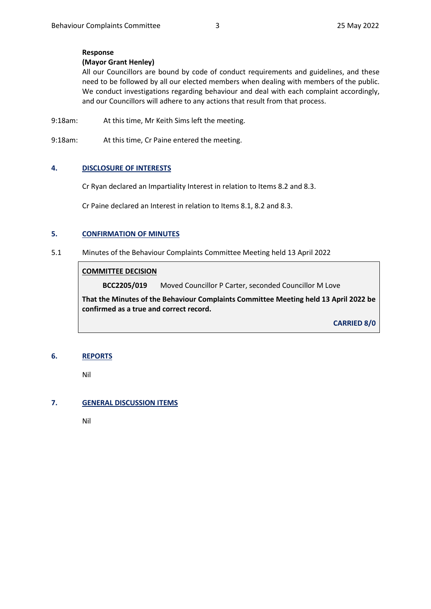### **Response**

### **(Mayor Grant Henley)**

All our Councillors are bound by code of conduct requirements and guidelines, and these need to be followed by all our elected members when dealing with members of the public. We conduct investigations regarding behaviour and deal with each complaint accordingly, and our Councillors will adhere to any actions that result from that process.

9:18am: At this time, Mr Keith Sims left the meeting.

9:18am: At this time, Cr Paine entered the meeting.

#### <span id="page-2-0"></span>**4. DISCLOSURE OF INTERESTS**

Cr Ryan declared an Impartiality Interest in relation to Items 8.2 and 8.3.

Cr Paine declared an Interest in relation to Items 8.1, 8.2 and 8.3.

#### <span id="page-2-1"></span>**5. CONFIRMATION OF MINUTES**

#### <span id="page-2-2"></span>5.1 Minutes of the Behaviour Complaints Committee Meeting held 13 April 2022

### **COMMITTEE DECISION**

**BCC2205/019** Moved Councillor P Carter, seconded Councillor M Love

**That the Minutes of the Behaviour Complaints Committee Meeting held 13 April 2022 be confirmed as a true and correct record.**

**CARRIED 8/0**

#### <span id="page-2-3"></span>**6. REPORTS**

Nil

### <span id="page-2-4"></span>**7. GENERAL DISCUSSION ITEMS**

Nil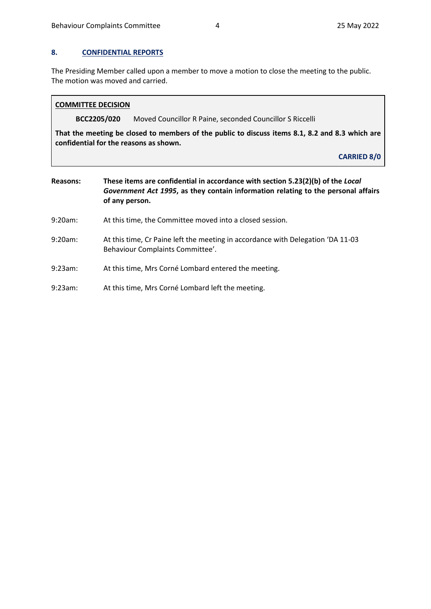### <span id="page-3-0"></span>**8. CONFIDENTIAL REPORTS**

The Presiding Member called upon a member to move a motion to close the meeting to the public. The motion was moved and carried.

### **COMMITTEE DECISION**

**BCC2205/020** Moved Councillor R Paine, seconded Councillor S Riccelli

**That the meeting be closed to members of the public to discuss items 8.1, 8.2 and 8.3 which are confidential for the reasons as shown.** 

**CARRIED 8/0**

- **Reasons: These items are confidential in accordance with section 5.23(2)(b) of the** *Local Government Act 1995***, as they contain information relating to the personal affairs of any person.**
- 9:20am: At this time, the Committee moved into a closed session.
- 9:20am: At this time, Cr Paine left the meeting in accordance with Delegation 'DA 11-03 Behaviour Complaints Committee'.
- 9:23am: At this time, Mrs Corné Lombard entered the meeting.
- <span id="page-3-1"></span>9:23am: At this time, Mrs Corné Lombard left the meeting.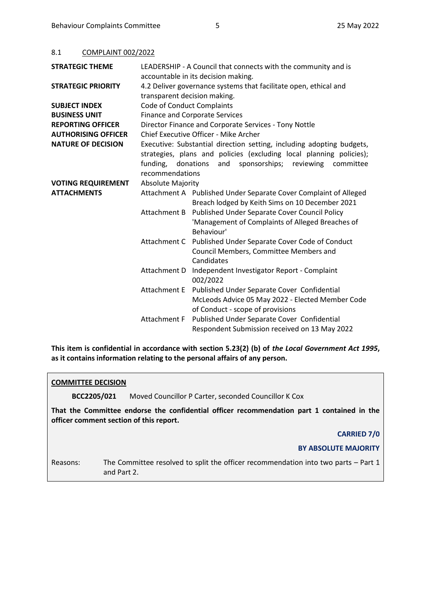#### 8.1 COMPLAINT 002/2022

| <b>STRATEGIC THEME</b>     | LEADERSHIP - A Council that connects with the community and is                             |                                                                     |  |  |
|----------------------------|--------------------------------------------------------------------------------------------|---------------------------------------------------------------------|--|--|
|                            | accountable in its decision making.                                                        |                                                                     |  |  |
| <b>STRATEGIC PRIORITY</b>  |                                                                                            | 4.2 Deliver governance systems that facilitate open, ethical and    |  |  |
|                            | transparent decision making.                                                               |                                                                     |  |  |
| <b>SUBJECT INDEX</b>       | Code of Conduct Complaints                                                                 |                                                                     |  |  |
| <b>BUSINESS UNIT</b>       | <b>Finance and Corporate Services</b>                                                      |                                                                     |  |  |
| <b>REPORTING OFFICER</b>   | Director Finance and Corporate Services - Tony Nottle                                      |                                                                     |  |  |
| <b>AUTHORISING OFFICER</b> | Chief Executive Officer - Mike Archer                                                      |                                                                     |  |  |
| <b>NATURE OF DECISION</b>  | Executive: Substantial direction setting, including adopting budgets,                      |                                                                     |  |  |
|                            |                                                                                            | strategies, plans and policies (excluding local planning policies); |  |  |
|                            | sponsorships;<br>funding,<br>donations<br>and<br>reviewing<br>committee<br>recommendations |                                                                     |  |  |
|                            |                                                                                            |                                                                     |  |  |
| <b>VOTING REQUIREMENT</b>  | <b>Absolute Majority</b>                                                                   |                                                                     |  |  |
| <b>ATTACHMENTS</b>         |                                                                                            | Attachment A Published Under Separate Cover Complaint of Alleged    |  |  |
|                            |                                                                                            | Breach lodged by Keith Sims on 10 December 2021                     |  |  |
|                            | Attachment B                                                                               | Published Under Separate Cover Council Policy                       |  |  |
|                            |                                                                                            | 'Management of Complaints of Alleged Breaches of                    |  |  |
|                            |                                                                                            | Behaviour'                                                          |  |  |
|                            |                                                                                            | Attachment C Published Under Separate Cover Code of Conduct         |  |  |
|                            |                                                                                            | Council Members, Committee Members and                              |  |  |
|                            |                                                                                            | Candidates                                                          |  |  |
|                            | Attachment D                                                                               | Independent Investigator Report - Complaint                         |  |  |
|                            |                                                                                            | 002/2022                                                            |  |  |
|                            | Attachment E                                                                               | Published Under Separate Cover Confidential                         |  |  |
|                            |                                                                                            | McLeods Advice 05 May 2022 - Elected Member Code                    |  |  |
|                            |                                                                                            | of Conduct - scope of provisions                                    |  |  |
|                            | Attachment F                                                                               | Published Under Separate Cover Confidential                         |  |  |
|                            |                                                                                            | Respondent Submission received on 13 May 2022                       |  |  |

**This item is confidential in accordance with section 5.23(2) (b) of** *the Local Government Act 1995***, as it contains information relating to the personal affairs of any person.**

#### **COMMITTEE DECISION**

**BCC2205/021** Moved Councillor P Carter, seconded Councillor K Cox

**That the Committee endorse the confidential officer recommendation part 1 contained in the officer comment section of this report.**

#### **CARRIED 7/0**

### **BY ABSOLUTE MAJORITY**

Reasons: The Committee resolved to split the officer recommendation into two parts – Part 1 and Part 2.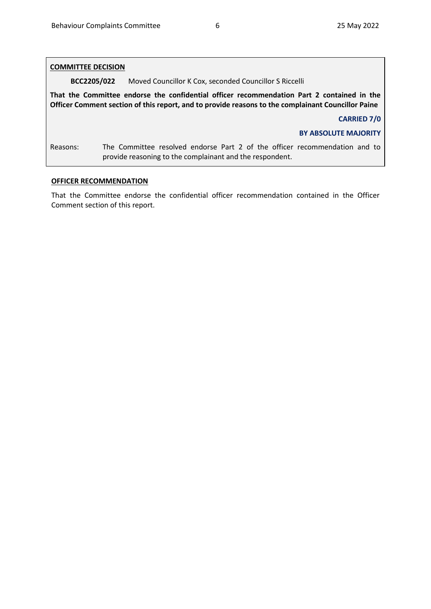| <b>COMMITTEE DECISION</b>                                                                                                                                                                        |                                                                                                                                        |  |  |
|--------------------------------------------------------------------------------------------------------------------------------------------------------------------------------------------------|----------------------------------------------------------------------------------------------------------------------------------------|--|--|
| BCC2205/022                                                                                                                                                                                      | Moved Councillor K Cox, seconded Councillor S Riccelli                                                                                 |  |  |
| That the Committee endorse the confidential officer recommendation Part 2 contained in the<br>Officer Comment section of this report, and to provide reasons to the complainant Councillor Paine |                                                                                                                                        |  |  |
|                                                                                                                                                                                                  | <b>CARRIED 7/0</b>                                                                                                                     |  |  |
|                                                                                                                                                                                                  | <b>BY ABSOLUTE MAJORITY</b>                                                                                                            |  |  |
| Reasons:                                                                                                                                                                                         | The Committee resolved endorse Part 2 of the officer recommendation and to<br>provide reasoning to the complainant and the respondent. |  |  |

### **OFFICER RECOMMENDATION**

That the Committee endorse the confidential officer recommendation contained in the Officer Comment section of this report.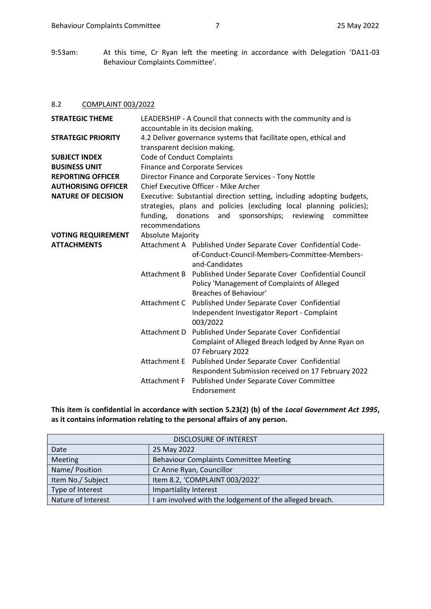9:53am: At this time, Cr Ryan left the meeting in accordance with Delegation 'DA11-03 Behaviour Complaints Committee'.

#### 8.2 COMPLAINT 003/2022

| <b>STRATEGIC THEME</b>     | LEADERSHIP - A Council that connects with the community and is<br>accountable in its decision making.                                        |                                                                                                                                           |  |
|----------------------------|----------------------------------------------------------------------------------------------------------------------------------------------|-------------------------------------------------------------------------------------------------------------------------------------------|--|
| <b>STRATEGIC PRIORITY</b>  | 4.2 Deliver governance systems that facilitate open, ethical and                                                                             |                                                                                                                                           |  |
|                            | transparent decision making.                                                                                                                 |                                                                                                                                           |  |
| <b>SUBJECT INDEX</b>       | <b>Code of Conduct Complaints</b>                                                                                                            |                                                                                                                                           |  |
| <b>BUSINESS UNIT</b>       |                                                                                                                                              | <b>Finance and Corporate Services</b>                                                                                                     |  |
| <b>REPORTING OFFICER</b>   |                                                                                                                                              | Director Finance and Corporate Services - Tony Nottle                                                                                     |  |
| <b>AUTHORISING OFFICER</b> |                                                                                                                                              | Chief Executive Officer - Mike Archer                                                                                                     |  |
| <b>NATURE OF DECISION</b>  | Executive: Substantial direction setting, including adopting budgets,<br>strategies, plans and policies (excluding local planning policies); |                                                                                                                                           |  |
|                            | funding,                                                                                                                                     | and<br>sponsorships;<br>donations<br>reviewing<br>committee                                                                               |  |
|                            | recommendations                                                                                                                              |                                                                                                                                           |  |
| <b>VOTING REQUIREMENT</b>  | <b>Absolute Majority</b>                                                                                                                     |                                                                                                                                           |  |
| <b>ATTACHMENTS</b>         |                                                                                                                                              | Attachment A Published Under Separate Cover Confidential Code-<br>of-Conduct-Council-Members-Committee-Members-<br>and-Candidates         |  |
|                            |                                                                                                                                              | Attachment B Published Under Separate Cover Confidential Council<br>Policy 'Management of Complaints of Alleged<br>Breaches of Behaviour' |  |
|                            |                                                                                                                                              | Attachment C Published Under Separate Cover Confidential<br>Independent Investigator Report - Complaint<br>003/2022                       |  |
|                            | Attachment D                                                                                                                                 | Published Under Separate Cover Confidential<br>Complaint of Alleged Breach lodged by Anne Ryan on<br>07 February 2022                     |  |
|                            |                                                                                                                                              | Attachment E Published Under Separate Cover Confidential<br>Respondent Submission received on 17 February 2022                            |  |
|                            | Attachment F                                                                                                                                 | Published Under Separate Cover Committee<br>Endorsement                                                                                   |  |

**This item is confidential in accordance with section 5.23(2) (b) of the** *Local Government Act 1995***, as it contains information relating to the personal affairs of any person.**

| <b>DISCLOSURE OF INTEREST</b> |                                                       |  |  |
|-------------------------------|-------------------------------------------------------|--|--|
| Date                          | 25 May 2022                                           |  |  |
| Meeting                       | <b>Behaviour Complaints Committee Meeting</b>         |  |  |
| Name/ Position                | Cr Anne Ryan, Councillor                              |  |  |
| Item No./ Subject             | Item 8.2, 'COMPLAINT 003/2022'                        |  |  |
| Type of Interest              | Impartiality Interest                                 |  |  |
| Nature of Interest            | am involved with the lodgement of the alleged breach. |  |  |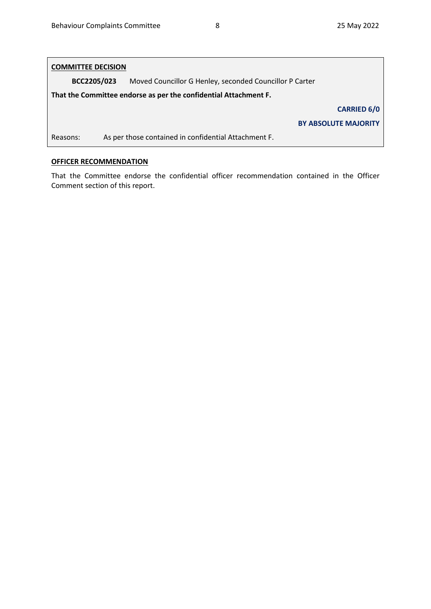# **COMMITTEE DECISION**

**BCC2205/023** Moved Councillor G Henley, seconded Councillor P Carter

**That the Committee endorse as per the confidential Attachment F.**

**CARRIED 6/0**

**BY ABSOLUTE MAJORITY**

Reasons: As per those contained in confidential Attachment F.

### <span id="page-7-0"></span>**OFFICER RECOMMENDATION**

That the Committee endorse the confidential officer recommendation contained in the Officer Comment section of this report.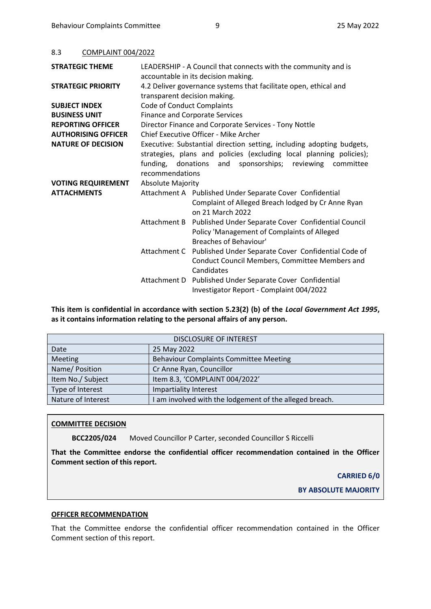| 8.3 | COMPLAINT 004/2022 |  |
|-----|--------------------|--|
|     |                    |  |

| <b>STRATEGIC THEME</b>     | LEADERSHIP - A Council that connects with the community and is<br>accountable in its decision making.                                                                                                                       |                                                                                                                                           |  |
|----------------------------|-----------------------------------------------------------------------------------------------------------------------------------------------------------------------------------------------------------------------------|-------------------------------------------------------------------------------------------------------------------------------------------|--|
| <b>STRATEGIC PRIORITY</b>  | 4.2 Deliver governance systems that facilitate open, ethical and<br>transparent decision making.                                                                                                                            |                                                                                                                                           |  |
| <b>SUBJECT INDEX</b>       | <b>Code of Conduct Complaints</b>                                                                                                                                                                                           |                                                                                                                                           |  |
| <b>BUSINESS UNIT</b>       |                                                                                                                                                                                                                             | <b>Finance and Corporate Services</b>                                                                                                     |  |
| <b>REPORTING OFFICER</b>   | Director Finance and Corporate Services - Tony Nottle                                                                                                                                                                       |                                                                                                                                           |  |
| <b>AUTHORISING OFFICER</b> | Chief Executive Officer - Mike Archer                                                                                                                                                                                       |                                                                                                                                           |  |
| <b>NATURE OF DECISION</b>  | Executive: Substantial direction setting, including adopting budgets,<br>strategies, plans and policies (excluding local planning policies);<br>funding, donations and sponsorships; reviewing committee<br>recommendations |                                                                                                                                           |  |
| <b>VOTING REQUIREMENT</b>  | <b>Absolute Majority</b>                                                                                                                                                                                                    |                                                                                                                                           |  |
| <b>ATTACHMENTS</b>         | Attachment A Published Under Separate Cover Confidential<br>Complaint of Alleged Breach lodged by Cr Anne Ryan<br>on 21 March 2022                                                                                          |                                                                                                                                           |  |
|                            |                                                                                                                                                                                                                             | Attachment B Published Under Separate Cover Confidential Council<br>Policy 'Management of Complaints of Alleged<br>Breaches of Behaviour' |  |
|                            | Attachment C                                                                                                                                                                                                                | Published Under Separate Cover Confidential Code of<br>Conduct Council Members, Committee Members and<br>Candidates                       |  |
|                            |                                                                                                                                                                                                                             | Attachment D Published Under Separate Cover Confidential<br>Investigator Report - Complaint 004/2022                                      |  |

**This item is confidential in accordance with section 5.23(2) (b) of the** *Local Government Act 1995***, as it contains information relating to the personal affairs of any person.**

| <b>DISCLOSURE OF INTEREST</b> |                                                       |  |  |
|-------------------------------|-------------------------------------------------------|--|--|
| Date                          | 25 May 2022                                           |  |  |
| Meeting                       | <b>Behaviour Complaints Committee Meeting</b>         |  |  |
| Name/Position                 | Cr Anne Ryan, Councillor                              |  |  |
| Item No./ Subject             | Item 8.3, 'COMPLAINT 004/2022'                        |  |  |
| Type of Interest              | Impartiality Interest                                 |  |  |
| Nature of Interest            | am involved with the lodgement of the alleged breach. |  |  |

#### **COMMITTEE DECISION**

**BCC2205/024** Moved Councillor P Carter, seconded Councillor S Riccelli

**That the Committee endorse the confidential officer recommendation contained in the Officer Comment section of this report.**

#### **CARRIED 6/0**

**BY ABSOLUTE MAJORITY**

#### **OFFICER RECOMMENDATION**

That the Committee endorse the confidential officer recommendation contained in the Officer Comment section of this report.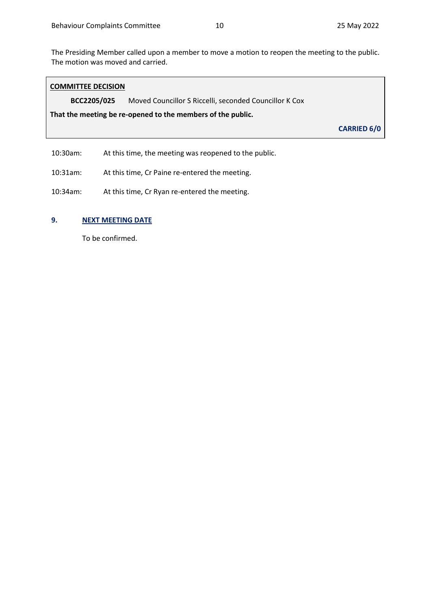The Presiding Member called upon a member to move a motion to reopen the meeting to the public. The motion was moved and carried.

| <b>COMMITTEE DECISION</b>                                             |                                                            |                    |  |
|-----------------------------------------------------------------------|------------------------------------------------------------|--------------------|--|
| BCC2205/025<br>Moved Councillor S Riccelli, seconded Councillor K Cox |                                                            |                    |  |
| That the meeting be re-opened to the members of the public.           |                                                            |                    |  |
|                                                                       |                                                            | <b>CARRIED 6/0</b> |  |
| 10.202                                                                | A t this times, this meantime was nonnound to the multiple |                    |  |

10:30am: At this time, the meeting was reopened to the public.

10:31am: At this time, Cr Paine re-entered the meeting.

10:34am: At this time, Cr Ryan re-entered the meeting.

### <span id="page-9-0"></span>**9. NEXT MEETING DATE**

To be confirmed.